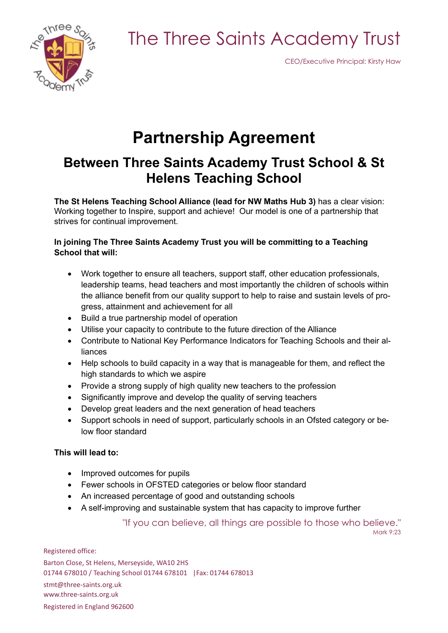The Three Saints Academy Trust



CEO/Executive Principal: Kirsty Haw

### **Partnership Agreement**

### **Between Three Saints Academy Trust School & St Helens Teaching School**

**The St Helens Teaching School Alliance (lead for NW Maths Hub 3)** has a clear vision: Working together to Inspire, support and achieve! Our model is one of a partnership that strives for continual improvement.

#### **In joining The Three Saints Academy Trust you will be committing to a Teaching School that will:**

- Work together to ensure all teachers, support staff, other education professionals, leadership teams, head teachers and most importantly the children of schools within the alliance benefit from our quality support to help to raise and sustain levels of progress, attainment and achievement for all
- Build a true partnership model of operation
- Utilise your capacity to contribute to the future direction of the Alliance
- Contribute to National Key Performance Indicators for Teaching Schools and their alliances
- Help schools to build capacity in a way that is manageable for them, and reflect the high standards to which we aspire
- Provide a strong supply of high quality new teachers to the profession
- Significantly improve and develop the quality of serving teachers
- Develop great leaders and the next generation of head teachers
- Support schools in need of support, particularly schools in an Ofsted category or below floor standard

#### **This will lead to:**

- Improved outcomes for pupils
- Fewer schools in OFSTED categories or below floor standard
- An increased percentage of good and outstanding schools
- A self-improving and sustainable system that has capacity to improve further

"If you can believe, all things are possible to those who believe."

Mark 9:23

Registered office: Barton Close, St Helens, Merseyside, WA10 2HS 01744 678010 / Teaching School 01744 678101 |Fax: 01744 678013 stmt@three-saints.org.uk www.three-saints.org.uk Registered in England 962600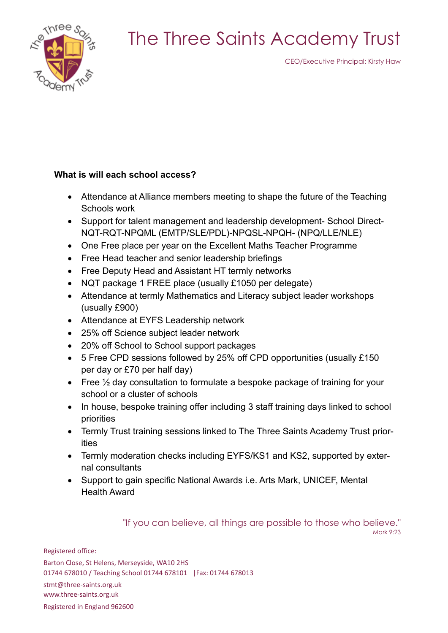## The Three Saints Academy Trust



CEO/Executive Principal: Kirsty Haw

### **What is will each school access?**

- Attendance at Alliance members meeting to shape the future of the Teaching Schools work
- Support for talent management and leadership development- School Direct-NQT-RQT-NPQML (EMTP/SLE/PDL)-NPQSL-NPQH- (NPQ/LLE/NLE)
- One Free place per year on the Excellent Maths Teacher Programme
- Free Head teacher and senior leadership briefings
- Free Deputy Head and Assistant HT termly networks
- NQT package 1 FREE place (usually £1050 per delegate)
- Attendance at termly Mathematics and Literacy subject leader workshops (usually £900)
- Attendance at EYFS Leadership network
- 25% off Science subject leader network
- 20% off School to School support packages
- 5 Free CPD sessions followed by 25% off CPD opportunities (usually £150 per day or £70 per half day)
- Free  $\frac{1}{2}$  day consultation to formulate a bespoke package of training for your school or a cluster of schools
- In house, bespoke training offer including 3 staff training days linked to school priorities
- Termly Trust training sessions linked to The Three Saints Academy Trust priorities
- Termly moderation checks including EYFS/KS1 and KS2, supported by external consultants
- Support to gain specific National Awards i.e. Arts Mark, UNICEF, Mental Health Award

"If you can believe, all things are possible to those who believe."

Mark 9:23

Registered office: Barton Close, St Helens, Merseyside, WA10 2HS 01744 678010 / Teaching School 01744 678101 |Fax: 01744 678013 stmt@three-saints.org.uk www.three-saints.org.uk Registered in England 962600